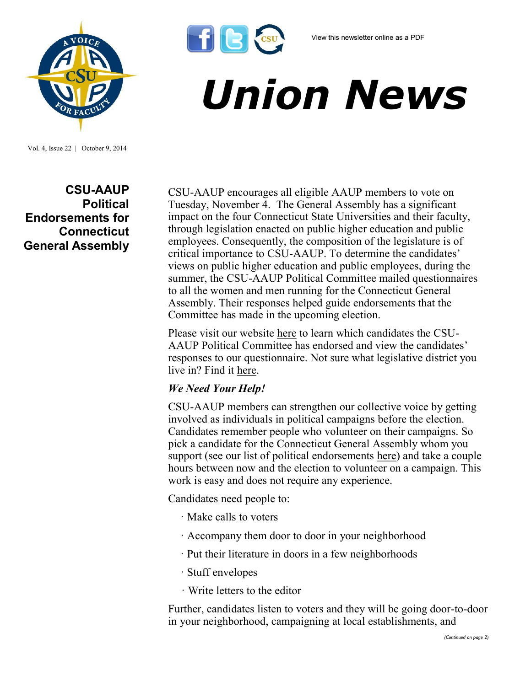*Union News*



**CSU-AAUP Political Endorsements for Connecticut General Assembly**

Vol. 4, Issue 22 | October 9, 2014

CSU-AAUP encourages all eligible AAUP members to vote on Tuesday, November 4. The General Assembly has a significant impact on the four Connecticut State Universities and their faculty, through legislation enacted on public higher education and public employees. Consequently, the composition of the legislature is of critical importance to CSU-AAUP. To determine the candidates' views on public higher education and public employees, during the summer, the CSU-AAUP Political Committee mailed questionnaires to all the women and men running for the Connecticut General Assembly. Their responses helped guide endorsements that the Committee has made in the upcoming election.

Please visit our website [here](http://www.csuaaup.org/?page_id=2937) to learn which candidates the CSU-AAUP Political Committee has endorsed and view the candidates' responses to our questionnaire. Not sure what legislative district you live in? Find it [here.](http://www.cga.ct.gov/rwd/cgafyl/default.asp)

## *We Need Your Help!*

**TIGK** 

CSU-AAUP members can strengthen our collective voice by getting involved as individuals in political campaigns before the election. Candidates remember people who volunteer on their campaigns. So pick a candidate for the Connecticut General Assembly whom you support (see our list of political endorsements [here\)](http://www.csuaaup.org/?page_id=2937) and take a couple hours between now and the election to volunteer on a campaign. This work is easy and does not require any experience.

Candidates need people to:

- · Make calls to voters
- · Accompany them door to door in your neighborhood
- · Put their literature in doors in a few neighborhoods
- · Stuff envelopes
- · Write letters to the editor

Further, candidates listen to voters and they will be going door-to-door in your neighborhood, campaigning at local establishments, and